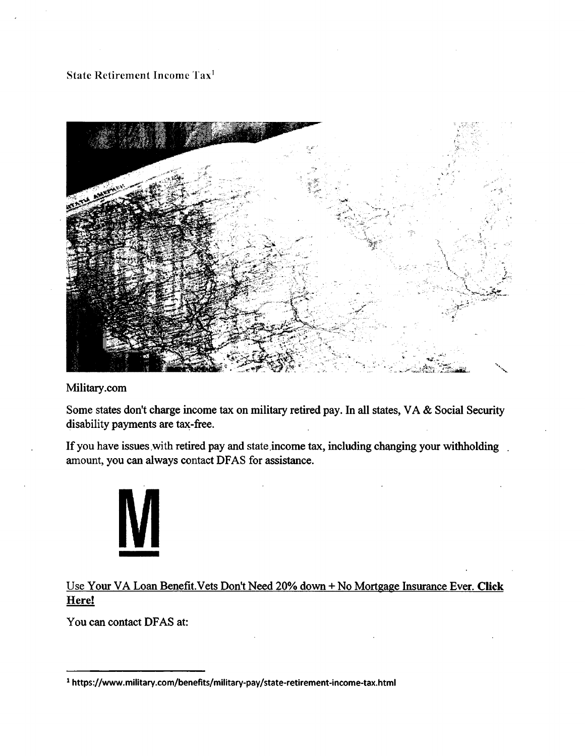## **State Retirement Income Taxi**



## **Military.com**

**Some states don't charge income tax on military retired pay. In all states, VA & Social Security disability payments are tax-free.** 

**If you have issues** with **retired pay and state income tax, including changing your withholding .**  amount, **you can always contact DFAS for assistance.** 



Use **Your VA Loan Benefit.Vets Don't Need 20% down + No Mortgage Insurance Ever. Click Here!** 

**You can contact DFAS at:** 

**https://www.military.com/benefits/military-pay/state-retirement-income-tax.html**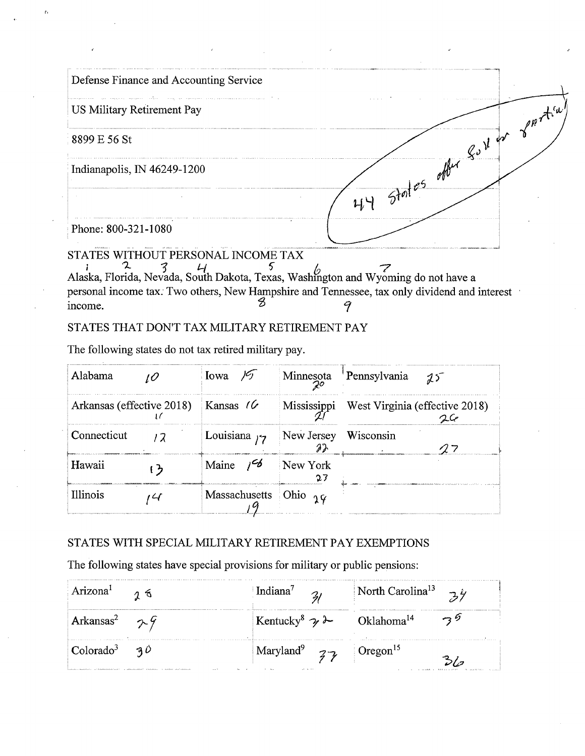| Defense Finance and Accounting Service              |                                                                                              |                           |
|-----------------------------------------------------|----------------------------------------------------------------------------------------------|---------------------------|
| US Military Retirement Pay                          |                                                                                              | $\sim$ f <sup>nt(u)</sup> |
| 8899 E 56 St                                        | 44 States offer Suiter                                                                       |                           |
| Indianapolis, IN 46249-1200                         |                                                                                              |                           |
|                                                     |                                                                                              |                           |
| Phone: 800-321-1080                                 |                                                                                              |                           |
| STATES WITHOUT PERSONAL INCOME TAX<br>$\mathcal{L}$ |                                                                                              |                           |
|                                                     | Alaska, Florida, Nevada, South Dakota, Texas, Washington and Wyoming do not have a           |                           |
|                                                     | personal income tax. Two others, New Hampshire and Tennessee, tax only dividend and interest |                           |
| income.                                             |                                                                                              |                           |

## STATES THAT DON'T TAX MILITARY RETIREMENT PAY

The following states do not tax retired military pay.

 $\mathfrak{g}_i$ 

| Alabama                                 | Iowa $\frac{1}{2}$                     |          | Minnesota Pennsylvania $25$                |
|-----------------------------------------|----------------------------------------|----------|--------------------------------------------|
| Arkansas (effective 2018) Kansas $\ell$ |                                        |          | Mississippi West Virginia (effective 2018) |
| Connecticut                             | Louisiana $\zeta$ New Jersey Wisconsin |          |                                            |
| Hawaii                                  | Maine $\frac{6}{6}$                    | New York |                                            |
| <b>Illinois</b>                         | Massachusetts Ohio $q\varphi$          |          |                                            |

## STATES WITH SPECIAL MILITARY RETIREMENT PAY EXEMPTIONS

The following states have special provisions for military or public pensions:

| Arizona <sup>1</sup>           | Indiana <sup>7</sup> $\frac{2}{1}$                              | North Carolina <sup>13</sup> $\vec{z}$ |
|--------------------------------|-----------------------------------------------------------------|----------------------------------------|
| Arkansas <sup>2</sup> $\sim$ 9 | Kentucky <sup>8</sup> $\rightarrow \sim$ Oklahoma <sup>14</sup> | $\rightarrow$ 3.2                      |
| Colorado <sup>3</sup> 30       | Maryland <sup>9</sup> $\overline{3}$ Oregon <sup>15</sup>       |                                        |